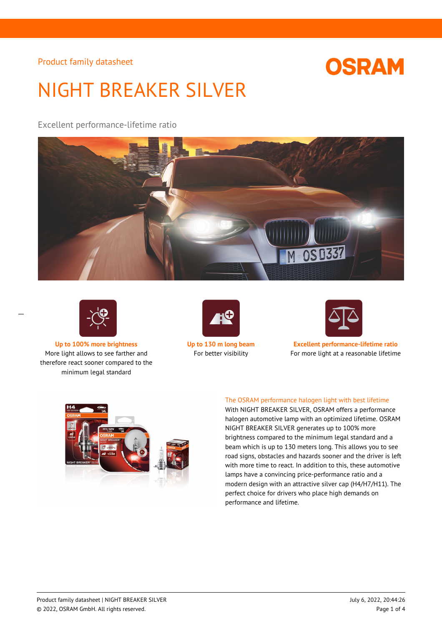# **OSRAM**

# NIGHT BREAKER SILVER

Excellent performance-lifetime ratio





 $\overline{a}$ 

More light allows to see farther and therefore react sooner compared to the minimum legal standard





**Up to 100% more brightness Up to 130 m long beam Excellent performance-lifetime ratio** For better visibility For more light at a reasonable lifetime



## The OSRAM performance halogen light with best lifetime

With NIGHT BREAKER SILVER, OSRAM offers a performance halogen automotive lamp with an optimized lifetime. OSRAM NIGHT BREAKER SILVER generates up to 100% more brightness compared to the minimum legal standard and a beam which is up to 130 meters long. This allows you to see road signs, obstacles and hazards sooner and the driver is left with more time to react. In addition to this, these automotive lamps have a convincing price-performance ratio and a modern design with an attractive silver cap (H4/H7/H11). The perfect choice for drivers who place high demands on performance and lifetime.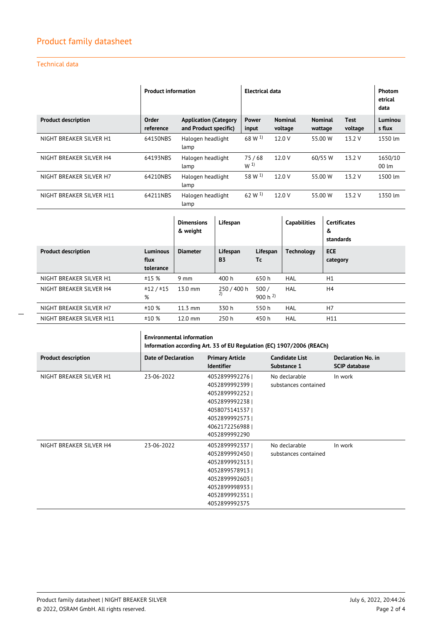## Technical data

|                            | <b>Product information</b> |                                                       | Electrical data    |                           |                           |                        | Photom<br>etrical<br>data    |
|----------------------------|----------------------------|-------------------------------------------------------|--------------------|---------------------------|---------------------------|------------------------|------------------------------|
| <b>Product description</b> | Order<br>reference         | <b>Application (Category</b><br>and Product specific) | Power<br>input     | <b>Nominal</b><br>voltage | <b>Nominal</b><br>wattage | <b>Test</b><br>voltage | Luminou<br>s flux            |
| NIGHT BREAKER SILVER H1    | 64150NBS                   | Halogen headlight<br>lamp                             | $68 W^{1}$         | 12.0 V                    | 55.00 W                   | 13.2 V                 | 1550 lm                      |
| NIGHT BREAKER SILVER H4    | 64193NBS                   | Halogen headlight<br>lamp                             | 75/68<br>$W^{(1)}$ | 12.0 V                    | 60/55 W                   | 13.2 V                 | 1650/10<br>$00 \, \text{Im}$ |
| NIGHT BREAKER SILVER H7    | 64210NBS                   | Halogen headlight<br>lamp                             | 58 W <sup>1)</sup> | 12.0 V                    | 55.00 W                   | 13.2V                  | 1500 lm                      |
| NIGHT BREAKER SILVER H11   | 64211NBS                   | Halogen headlight<br>lamp                             | 62 W $^{1}$        | 12.0 V                    | 55.00 W                   | 13.2 V                 | 1350 lm                      |

|                            |                                      | <b>Dimensions</b><br>& weight | Lifespan              |                      | <b>Capabilities</b> | <b>Certificates</b><br>&<br>standards |
|----------------------------|--------------------------------------|-------------------------------|-----------------------|----------------------|---------------------|---------------------------------------|
| <b>Product description</b> | <b>Luminous</b><br>flux<br>tolerance | <b>Diameter</b>               | Lifespan<br><b>B3</b> | Lifespan<br>Tc       | <b>Technology</b>   | <b>ECE</b><br>category                |
| NIGHT BREAKER SILVER H1    | ±15%                                 | $9 \text{ mm}$                | 400 h                 | 650 h                | HAL                 | H1                                    |
| NIGHT BREAKER SILVER H4    | ±12/±15<br>%                         | 13.0 mm                       | 250 / 400 h<br>2)     | 500/<br>900 h $^{2}$ | <b>HAL</b>          | H4                                    |
| NIGHT BREAKER SILVER H7    | ±10%                                 | $11.3$ mm                     | 330 h                 | 550 h                | <b>HAL</b>          | H7                                    |
| NIGHT BREAKER SILVER H11   | ±10%                                 | 12.0 mm                       | 250h                  | 450 h                | HAL                 | H11                                   |

|                            | <b>Environmental information</b><br>Information according Art. 33 of EU Regulation (EC) 1907/2006 (REACh) |                                                                                                                                         |                                       |                                            |  |
|----------------------------|-----------------------------------------------------------------------------------------------------------|-----------------------------------------------------------------------------------------------------------------------------------------|---------------------------------------|--------------------------------------------|--|
| <b>Product description</b> | <b>Date of Declaration</b>                                                                                | <b>Primary Article</b><br><b>Identifier</b>                                                                                             | <b>Candidate List</b><br>Substance 1  | Declaration No. in<br><b>SCIP database</b> |  |
| NIGHT BREAKER SILVER H1    | 23-06-2022                                                                                                | 40528999922761<br>40528999923991<br>40528999922521<br>4052899992238<br>4058075141537<br>4052899992573<br>4062172256988<br>4052899992290 | No declarable<br>substances contained | In work                                    |  |
| NIGHT BREAKER SILVER H4    | 23-06-2022                                                                                                | 4052899992337<br>4052899992450<br>4052899992313<br>4052899578913<br>4052899992603<br>40528999989331<br>4052899992351<br>4052899992375   | No declarable<br>substances contained | In work                                    |  |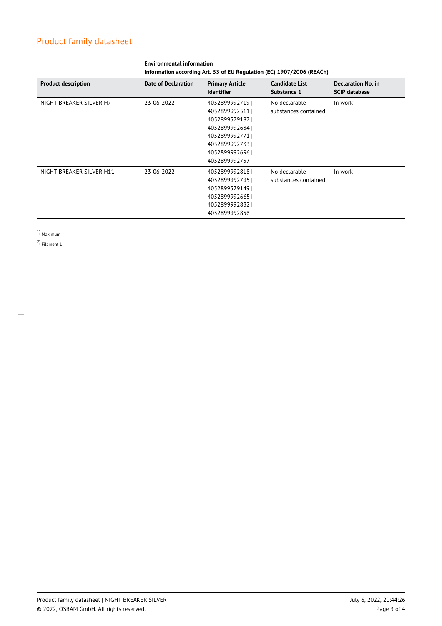|                            | <b>Environmental information</b><br>Information according Art. 33 of EU Regulation (EC) 1907/2006 (REACh) |                                             |                                      |                                                   |  |
|----------------------------|-----------------------------------------------------------------------------------------------------------|---------------------------------------------|--------------------------------------|---------------------------------------------------|--|
| <b>Product description</b> | Date of Declaration                                                                                       | <b>Primary Article</b><br><b>Identifier</b> | <b>Candidate List</b><br>Substance 1 | <b>Declaration No. in</b><br><b>SCIP database</b> |  |
| NIGHT BREAKER SILVER H7    | 23-06-2022                                                                                                | 4052899992719                               | No declarable                        | In work                                           |  |
|                            |                                                                                                           | 4052899992511                               | substances contained                 |                                                   |  |
|                            |                                                                                                           | 4052899579187                               |                                      |                                                   |  |
|                            |                                                                                                           | 4052899992634                               |                                      |                                                   |  |
|                            |                                                                                                           | 4052899992771                               |                                      |                                                   |  |
|                            |                                                                                                           | 40528999927331                              |                                      |                                                   |  |
|                            |                                                                                                           | 40528999926961                              |                                      |                                                   |  |
|                            |                                                                                                           | 4052899992757                               |                                      |                                                   |  |
| NIGHT BREAKER SILVER H11   | 23-06-2022                                                                                                | 4052899992818                               | No declarable                        | In work                                           |  |
|                            |                                                                                                           | 4052899992795                               | substances contained                 |                                                   |  |
|                            |                                                                                                           | 4052899579149                               |                                      |                                                   |  |
|                            |                                                                                                           | 4052899992665                               |                                      |                                                   |  |
|                            |                                                                                                           | 4052899992832                               |                                      |                                                   |  |
|                            |                                                                                                           | 4052899992856                               |                                      |                                                   |  |

1) Maximum

2) Filament 1